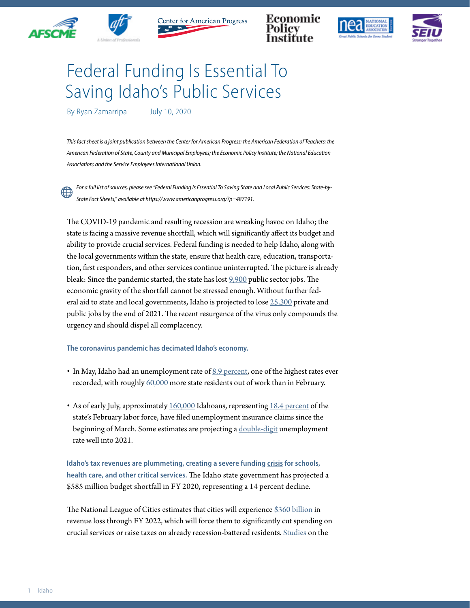



Center for American Progress







## Federal Funding Is Essential To Saving Idaho's Public Services

By Ryan Zamarripa July 10, 2020

This fact sheet is a joint publication between the Center for American Progress; the American Federation of Teachers; the *American Federation of State, County and Municipal Employees; the Economic Policy Institute; the National Education Association; and the Service Employees International Union.*

*For a full list of sources, please see "Federal Funding Is Essential To Saving State and Local Public Services: State-by-State Fact Sheets," available at https://www.americanprogress.org/?p=487191.*

The COVID-19 pandemic and resulting recession are wreaking havoc on Idaho; the state is facing a massive revenue shortfall, which will significantly affect its budget and ability to provide crucial services. Federal funding is needed to help Idaho, along with the local governments within the state, ensure that health care, education, transportation, first responders, and other services continue uninterrupted. The picture is already bleak: Since the pandemic started, the state has lost [9,900](https://www.bls.gov/news.release/laus.t03.htm) public sector jobs. The economic gravity of the shortfall cannot be stressed enough. Without further federal aid to state and local governments, Idaho is projected to lose [25,300](https://www.epi.org/blog/without-federal-aid-to-state-and-local-governments-5-3-million-workers-will-likely-lose-their-jobs-by-the-end-of-2021-see-estimated-job-losses-by-state/) private and public jobs by the end of 2021. The recent resurgence of the virus only compounds the urgency and should dispel all complacency.

## **The coronavirus pandemic has decimated Idaho's economy.**

- $\bullet$  In May, Idaho had an unemployment rate of  $8.9$  percent, one of the highest rates ever recorded, with roughly [60,000](https://www.bls.gov/news.release/laus.t03.htm) more state residents out of work than in February.
- As of early July, approximately [160,000](https://oui.doleta.gov/unemploy/claims_arch.asp) Idahoans, representing [18.4 percent](https://www.bls.gov/news.release/laus.t01.htm) of the state's February labor force, have filed unemployment insurance claims since the beginning of March. Some estimates are projecting a [double-digit](http://www.oecd.org/economic-outlook/june-2020/#:~:text=Global%20economic%20activity%20falls%206,across%20the%20economy%20by%202021.) unemployment rate well into 2021.

**Idaho's tax revenues are plummeting, creating a severe funding [crisis](https://www.cbpp.org/research/state-budget-and-tax/states-grappling-with-hit-to-tax-collections) for schools, health care, and other critical services.** The Idaho state government has projected a \$585 million budget shortfall in FY 2020, representing a 14 percent decline.

The National League of Cities estimates that cities will experience [\\$360 billion](https://www.nlc.org/sites/default/files/users/user52651/Cities%20Are%20Essential%20Revenue%20Loss_One%20Pager.pdf) in revenue loss through FY 2022, which will force them to significantly cut spending on crucial services or raise taxes on already recession-battered residents. [Studies](https://www.americanprogress.org/issues/economy/reports/2014/05/30/90621/what-have-we-learned-about-austerity-since-the-great-recession/) on the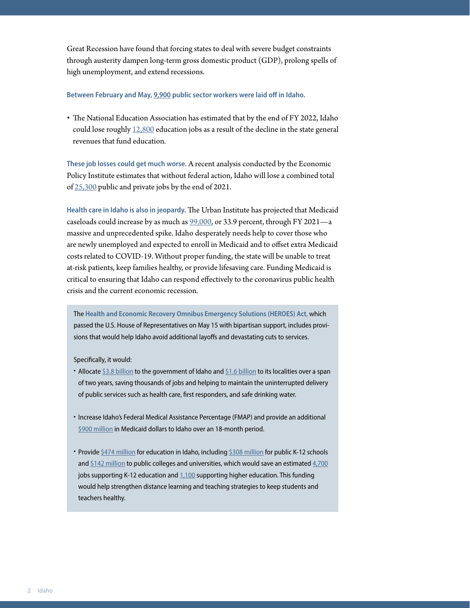Great Recession have found that forcing states to deal with severe budget constraints through austerity dampen long-term gross domestic product (GDP), prolong spells of high unemployment, and extend recessions.

## **Between February and May, [9,900](https://www.bls.gov/news.release/laus.t03.htm) public sector workers were laid off in Idaho.**

• The National Education Association has estimated that by the end of FY 2022, Idaho could lose roughly  $12,800$  education jobs as a result of the decline in the state general revenues that fund education.

**These job losses could get much worse.** A recent analysis conducted by the Economic Policy Institute estimates that without federal action, Idaho will lose a combined total of [25,300](https://www.epi.org/blog/without-federal-aid-to-state-and-local-governments-5-3-million-workers-will-likely-lose-their-jobs-by-the-end-of-2021-see-estimated-job-losses-by-state/) public and private jobs by the end of 2021.

**Health care in Idaho is also in jeopardy.** The Urban Institute has projected that Medicaid caseloads could increase by as much as [99,000](https://www.urban.org/research/publication/how-covid-19-recession-could-affect-health-insurance-coverage/view/full_report), or 33.9 percent, through FY 2021—a massive and unprecedented spike. Idaho desperately needs help to cover those who are newly unemployed and expected to enroll in Medicaid and to offset extra Medicaid costs related to COVID-19. Without proper funding, the state will be unable to treat at-risk patients, keep families healthy, or provide lifesaving care. Funding Medicaid is critical to ensuring that Idaho can respond effectively to the coronavirus public health crisis and the current economic recession.

The **Health and Economic Recovery Omnibus Emergency Solutions (HEROES) Act**, which passed the U.S. House of Representatives on May 15 with bipartisan support, includes provisions that would help Idaho avoid additional layoffs and devastating cuts to services.

Specifically, it would:

- Allocate [\\$3.8 billion](https://www.speaker.gov/heroesact) to the government of Idaho and [\\$1.6 billion](https://www.speaker.gov/heroesact) to its localities over a span of two years, saving thousands of jobs and helping to maintain the uninterrupted delivery of public services such as health care, first responders, and safe drinking water.
- Increase Idaho's Federal Medical Assistance Percentage (FMAP) and provide an additional [\\$900 million](https://www.cbpp.org/blog/pelosi-bill-includes-much-needed-medicaid-funding-for-states) in Medicaid dollars to Idaho over an 18-month period.
- Provide [\\$474 million](https://educationvotes.nea.org/wp-content/uploads/2020/06/Revised-NEA-Estimates-in-Support-of-the-HEROES-Act-06-06-2020.pdf?_ga=2.17671737.1424969520.1591579607-1012899167.1494591151) for education in Idaho, including [\\$308 million](https://educationvotes.nea.org/wp-content/uploads/2020/06/Revised-NEA-Estimates-in-Support-of-the-HEROES-Act-06-06-2020.pdf?_ga=2.17671737.1424969520.1591579607-1012899167.1494591151) for public K-12 schools and [\\$142 million](https://educationvotes.nea.org/wp-content/uploads/2020/06/Revised-NEA-Estimates-in-Support-of-the-HEROES-Act-06-06-2020.pdf?_ga=2.17671737.1424969520.1591579607-1012899167.1494591151) to public colleges and universities, which would save an estimated [4,700](https://educationvotes.nea.org/wp-content/uploads/2020/06/Revised-NEA-Estimates-in-Support-of-the-HEROES-Act-06-06-2020.pdf?_ga=2.17671737.1424969520.1591579607-1012899167.1494591151) jobs supporting K-12 education and [1,100](https://educationvotes.nea.org/wp-content/uploads/2020/06/Revised-NEA-Estimates-in-Support-of-the-HEROES-Act-06-06-2020.pdf?_ga=2.17671737.1424969520.1591579607-1012899167.1494591151) supporting higher education. This funding would help strengthen distance learning and teaching strategies to keep students and teachers healthy.